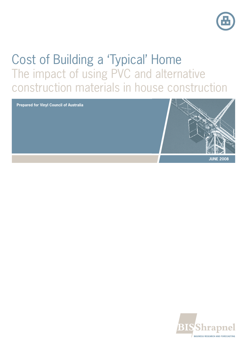

# Cost of Building a 'Typical' Home The impact of using PVC and alternative construction materials in house construction

**Prepared for Vinyl Council of Australia**



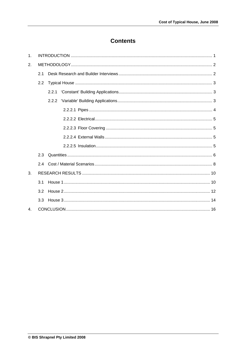# **Contents**

| 1.             |     |  |
|----------------|-----|--|
| 2.             |     |  |
|                | 21  |  |
|                | 2.2 |  |
|                |     |  |
|                |     |  |
|                |     |  |
|                |     |  |
|                |     |  |
|                |     |  |
|                |     |  |
|                | 23  |  |
|                |     |  |
| 3.             |     |  |
|                | 3.1 |  |
|                | 3.2 |  |
|                | 3.3 |  |
| $\mathbf{4}$ . |     |  |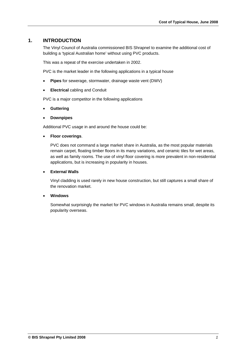### **1. INTRODUCTION**

The Vinyl Council of Australia commissioned BIS Shrapnel to examine the additional cost of building a 'typical Australian home' without using PVC products.

This was a repeat of the exercise undertaken in 2002.

PVC is the market leader in the following applications in a typical house

- **Pipes** for sewerage, stormwater, drainage waste vent (DWV)
- **Electrical** cabling and Conduit

PVC is a major competitor in the following applications

- **Guttering**
- **Downpipes**

Additional PVC usage in and around the house could be:

**Floor coverings**.

PVC does not command a large market share in Australia, as the most popular materials remain carpet, floating timber floors in its many variations, and ceramic tiles for wet areas, as well as family rooms. The use of vinyl floor covering is more prevalent in non-residential applications, but is increasing in popularity in houses.

#### **External Walls**

Vinyl cladding is used rarely in new house construction, but still captures a small share of the renovation market.

#### **Windows**

Somewhat surprisingly the market for PVC windows in Australia remains small, despite its popularity overseas.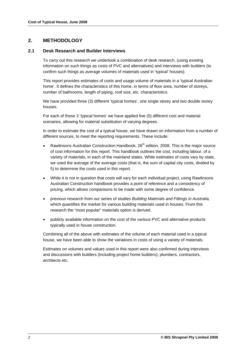# **2. METHODOLOGY**

#### **2.1 Desk Research and Builder Interviews**

To carry out this research we undertook a combination of desk research, (using existing information on such things as costs of PVC and alternatives) and interviews with builders (to confirm such things as average volumes of materials used in 'typical' houses).

This report provides estimates of costs and usage volume of materials in a 'typical Australian home'. It defines the characteristics of this home, in terms of floor area, number of storeys, number of bathrooms, length of piping, roof size, etc. characteristics.

We have provided three (3) different 'typical homes', one single storey and two double storey houses.

For each of these 3 'typical homes' we have applied five (5) different cost and material scenarios, allowing for material substitution of varying degrees.

In order to estimate the cost of a typical house, we have drawn on information from a number of different sources, to meet the reporting requirements. These include:

- Rawlinsons Australian Construction Handbook,  $26<sup>th</sup>$  edition, 2008. This is the major source of cost information for this report. This handbook outlines the cost, including labour, of a variety of materials, in each of the mainland states. While estimates of costs vary by state, we used the average of the average costs (that is, the sum of capital city costs, divided by 5) to determine the costs used in this report.
- While it is not in question that costs will vary for each individual project, using Rawlinsons Australian Construction handbook provides a point of reference and a consistency of pricing, which allows comparisons to be made with some degree of confidence.
- previous research from our series of studies *Building Materials and Fittings in Australia,*  which quantifies the market for various building materials used in houses. From this research the "most popular" materials option is derived.
- publicly available information on the cost of the various PVC and alternative products typically used in house construction.

Combining all of the above with estimates of the volume of each material used in a typical house, we have been able to show the variations in costs of using a variety of materials.

Estimates on volumes and values used in this report were also confirmed during interviews and discussions with builders (including project home builders), plumbers, contractors, architects etc.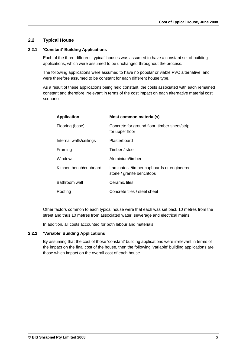#### **2.2 Typical House**

#### **2.2.1 'Constant' Building Applications**

Each of the three different 'typical' houses was assumed to have a constant set of building applications, which were assumed to be unchanged throughout the process.

The following applications were assumed to have no popular or viable PVC alternative, and were therefore assumed to be constant for each different house type.

As a result of these applications being held constant, the costs associated with each remained constant and therefore irrelevant in terms of the cost impact on each alternative material cost scenario.

| <b>Application</b>      | Most common material(s)                                                |
|-------------------------|------------------------------------------------------------------------|
| Flooring (base)         | Concrete for ground floor, timber sheet/strip<br>for upper floor       |
| Internal walls/ceilings | Plasterboard                                                           |
| Framing                 | Timber / steel                                                         |
| <b>Windows</b>          | Aluminium/timber                                                       |
| Kitchen bench/cupboard  | Laminates /timber cupboards or engineered<br>stone / granite benchtops |
| Bathroom wall           | Ceramic tiles                                                          |
| Roofing                 | Concrete tiles / steel sheet                                           |

Other factors common to each typical house were that each was set back 10 metres from the street and thus 10 metres from associated water, sewerage and electrical mains.

In addition, all costs accounted for both labour and materials.

#### **2.2.2 'Variable' Building Applications**

By assuming that the cost of those 'constant' building applications were irrelevant in terms of the impact on the final cost of the house, then the following 'variable' building applications are those which impact on the overall cost of each house.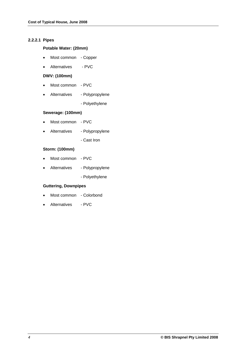#### **2.2.2.1 Pipes**

#### **Potable Water: (20mm)**

- Most common Copper
- Alternatives PVC

#### **DWV: (100mm)**

- Most common PVC
- Alternatives Polypropylene
	- Polyethylene

#### **Sewerage: (100mm)**

- Most common PVC
- Alternatives Polypropylene
	- Cast Iron

#### **Storm: (100mm)**

- Most common PVC
- Alternatives Polypropylene
	- Polyethylene

#### **Guttering, Downpipes**

- Most common Colorbond
- Alternatives PVC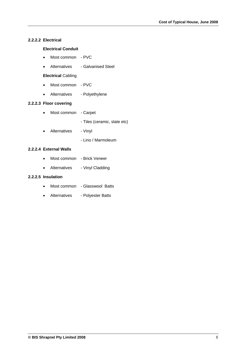#### **2.2.2.2 Electrical**

#### **Electrical Conduit**

- Most common PVC
- Alternatives Galvanised Steel

#### **Electrical** Cabling

- Most common PVC
- Alternatives Polyethylene

#### **2.2.2.3 Floor covering**

- Most common Carpet
	- Tiles (ceramic, slate etc)
- Alternatives Vinyl
	- Lino / Marmoleum

#### **2.2.2.4 External Walls**

- Most common Brick Veneer
- Alternatives Vinyl Cladding

# **2.2.2.5 Insulation**

- Most common Glasswool Batts
- Alternatives Polyester Batts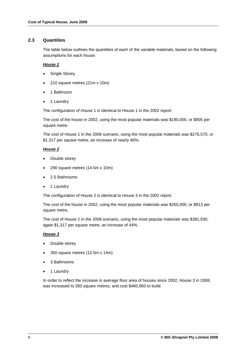#### **2.3 Quantities**

The table below outlines the quantities of each of the variable materials, based on the following assumptions for each house:

#### *House 1*

- Single Storey
- 210 square metres (21m x 10m)
- 1 Bathroom
- 1 Laundry

The configuration of House 1 is identical to House 1 in the 2002 report.

The cost of the house in 2002, using the most popular materials was \$190,000, or \$905 per square metre.

The cost of House 1 in the 2008 scenario, using the most popular materials was \$276,570, or \$1,317 per square metre, an increase of nearly 46%.

#### *House 2*

- Double storey
- 290 square metres (14.5m x 10m)
- 2.5 Bathrooms
- 1 Laundry

The configuration of House 2 is identical to House 3 in the 2002 report.

The cost of the house in 2002, using the most popular materials was \$265,000, or \$913 per square metre.

The cost of House 2 in the 2008 scenario, using the most popular materials was \$381,930, again \$1,317 per square metre, an increase of 44%.

#### *House 3*

- Double storey
- 350 square metres (12.5m x 14m)
- 3 Bathrooms
- 1 Laundry

In order to reflect the increase in average floor area of houses since 2002, House 3 in 2008, was increased to 350 square metres, and cost \$460,950 to build.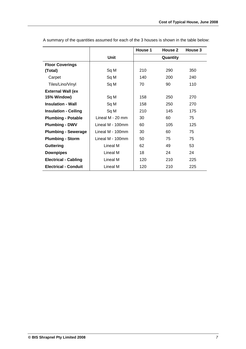|                             |                  | House 1 | House 2  | House 3 |
|-----------------------------|------------------|---------|----------|---------|
|                             | Unit             |         | Quantity |         |
| <b>Floor Coverings</b>      |                  |         |          |         |
| (Total)                     | Sq M             | 210     | 290      | 350     |
| Carpet                      | Sq M             | 140     | 200      | 240     |
| Tiles/Lino/Vinyl            | Sq M             | 70      | 90       | 110     |
| <b>External Wall (ex</b>    |                  |         |          |         |
| 15% Window)                 | Sq M             | 158     | 250      | 270     |
| <b>Insulation - Wall</b>    | Sq M             | 158     | 250      | 270     |
| <b>Insulation - Ceiling</b> | Sq M             | 210     | 145      | 175     |
| <b>Plumbing - Potable</b>   | Lineal M - 20 mm | 30      | 60       | 75      |
| <b>Plumbing - DWV</b>       | Lineal M - 100mm | 60      | 105      | 125     |
| <b>Plumbing - Sewerage</b>  | Lineal M - 100mm | 30      | 60       | 75      |
| <b>Plumbing - Storm</b>     | Lineal M - 100mm | 50      | 75       | 75      |
| <b>Guttering</b>            | Lineal M         | 62      | 49       | 53      |
| <b>Downpipes</b>            | Lineal M         | 18      | 24       | 24      |
| <b>Electrical - Cabling</b> | Lineal M         | 120     | 210      | 225     |
| <b>Electrical - Conduit</b> | Lineal M         | 120     | 210      | 225     |

A summary of the quantities assumed for each of the 3 houses is shown in the table below: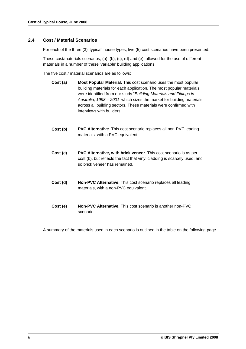#### **2.4 Cost / Material Scenarios**

For each of the three (3) 'typical' house types, five (5) cost scenarios have been presented.

These cost/materials scenarios, (a), (b), (c), (d) and (e), allowed for the use of different materials in a number of these 'variable' building applications.

The five cost / material scenarios are as follows:

- **Cost (a) Most Popular Material.** This cost scenario uses the most popular building materials for each application. The most popular materials were identified from our study "*Building Materials and Fittings in Australia, 1998 – 2001'* which sizes the market for building materials across all building sectors. These materials were confirmed with interviews with builders.
- **Cost (b) PVC Alternative**. This cost scenario replaces all non-PVC leading materials, with a PVC equivalent.
- **Cost (c) PVC Alternative, with brick veneer**. This cost scenario is as per cost (b), but reflects the fact that vinyl cladding is scarcely used, and so brick veneer has remained.
- **Cost (d) Non-PVC Alternative**. This cost scenario replaces all leading materials, with a non-PVC equivalent.
- **Cost (e) Non-PVC Alternative**. This cost scenario is another non-PVC scenario.

A summary of the materials used in each scenario is outlined in the table on the following page.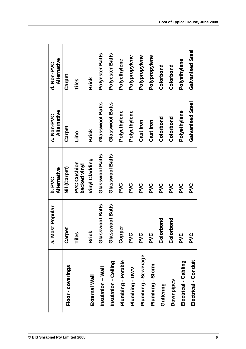|                      | a. Most Popular | b. PVC<br>Alternative              | Alternative<br>c. Non-PVC | Alternative<br>d. Non-PVC |
|----------------------|-----------------|------------------------------------|---------------------------|---------------------------|
| Floor - coverings    | Carpet          | Nil (Carpet)                       | Carpet                    | Carpet                    |
|                      | Tiles           | <b>PVC Cushion</b><br>backed vinyl | Lino                      | Tiles                     |
| External Wall        | <b>Brick</b>    | Vinyl Cladding                     | <b>Brick</b>              | <b>Brick</b>              |
| Insulation - Wall    | Glasswool Batts | Glasswool Batts                    | Glasswool Batts           | <b>Polyester Batts</b>    |
| Insulation - Ceiling | Glasswool Batts | Glasswool Batts                    | Glasswool Batts           | <b>Polyester Batts</b>    |
| Plumbing - Potable   | Copper          | <b>PVC</b>                         | Polyethylene              | Polyethylene              |
| Plumbing - DWV       | pvc             | PVC                                | Polyethylene              | Polypropylene             |
| Plumbing - Sewerage  | DVC             | PVC                                | Cast Iron                 | Polypropylene             |
| Plumbing - Storm     | pvc             | PVC                                | Cast Iron                 | Polypropylene             |
| Guttering            | Colorbond       | PVC                                | Colorbond                 | Colorbond                 |
| Downpipes            | Colorbond       | pvc                                | Colorbond                 | Colorbond                 |
| Electrical - Cabling | PVC             | PVC                                | Polyethylene              | Polyethylene              |
| Electrical - Conduit | pvc             | <b>PVC</b>                         | Galvanised Steel          | Galvanised<br>Steel       |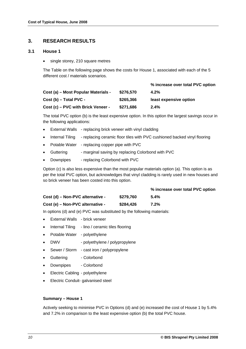# **3. RESEARCH RESULTS**

#### **3.1 House 1**

• single storey, 210 square metres

The Table on the following page shows the costs for House 1, associated with each of the 5 different cost / materials scenarios.

|                                     |           | % increase over total PVC option |
|-------------------------------------|-----------|----------------------------------|
| Cost (a) – Most Popular Materials - | \$276.570 | $4.2\%$                          |
| Cost (b) - Total PVC -              | \$265,366 | least expensive option           |
| Cost (c) – PVC with Brick Veneer -  | \$271,686 | $2.4\%$                          |

The total PVC option (b) is the least expensive option. In this option the largest savings occur in the following applications:

- External Walls replacing brick veneer with vinyl cladding
- Internal Tiling replacing ceramic floor tiles with PVC cushioned backed vinyl flooring
- Potable Water replacing copper pipe with PVC
- Guttering marginal saving by replacing Colorbond with PVC
- Downpipes replacing Colorbond with PVC

Option (c) is also less expensive than the most popular materials option (a). This option is as per the total PVC option, but acknowledges that vinyl cladding is rarely used in new houses and so brick veneer has been costed into this option.

|                                  |           | % increase over total PVC option |
|----------------------------------|-----------|----------------------------------|
| Cost (d) – Non-PVC alternative - | \$279.760 | $5.4\%$                          |
| Cost (e) – Non-PVC alternative - | \$284.426 | 7.2%                             |

In options (d) and (e) PVC was substituted by the following materials:

- External Walls brick veneer
- Internal Tiling lino / ceramic tiles flooring
- Potable Water polyethylene
- DWV polyethylene / polypropylene
- Sewer / Storm cast iron / polypropylene
- Guttering Colorbond
- Downpipes Colorbond
- Electric Cabling polyethylene
- Electric Conduit- galvanised steel

#### **Summary – House 1**

Actively seeking to minimise PVC in Options (d) and (e) increased the cost of House 1 by 5.4% and 7.2% in comparison to the least expensive option (b) the total PVC house.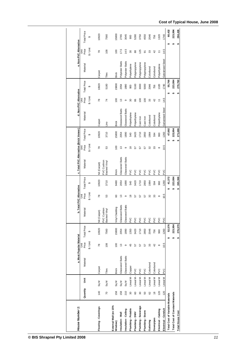| House Number 1:                         |                          |                                       |                 | a. Most Popular Material |                                    |                             | b. Total PVC Alternative                   |                              | c. Total PVC Alternative (Brick Veneer) |               |                     |                  | d. Non-PVC Alternative    |                                    |                  | e. Non-PVC Alternative                              |                         |
|-----------------------------------------|--------------------------|---------------------------------------|-----------------|--------------------------|------------------------------------|-----------------------------|--------------------------------------------|------------------------------|-----------------------------------------|---------------|---------------------|------------------|---------------------------|------------------------------------|------------------|-----------------------------------------------------|-------------------------|
|                                         | Quantity                 | š                                     | Material        | Price<br>š               | <b>Total Price</b>                 | Material                    | Price<br>š                                 | <b>Total Price</b>           | Material                                | Price<br>š    | <b>Total Price</b>  | Material         | Price<br>š                | <b>Total Price</b>                 | Material         | Price<br>š                                          | <b>Total Price</b>      |
|                                         |                          |                                       |                 | $$/$ Unit                | $\boldsymbol{\varphi}$             |                             | \$/Unit                                    | ↮                            |                                         | \$/Unit       | ↮                   |                  | \$/ Unit                  | ↮                                  |                  | $$/$ Unit                                           | $\pmb{\leftrightarrow}$ |
| Flooring-Coverings                      | 140                      | $\mathbb{S}^{\mathsf{q}}$ M           | Carpet          | 78                       | 10920                              | Nil (Carpet)                | 78                                         | 10920                        | Nil (Carpet)                            | $\approx$     | 10920               | Carpet           | 78                        | 10920                              | Carpet           | $78$                                                | 10920                   |
|                                         | $\overline{C}$           | $\mathbb{S}_{q}$ M                    | Tiles           | 108                      | 7560                               | PVC Cushion<br>Backed Vinyl | $\mathbb S^3$                              | 3710                         | PVC Cushion<br>Backed Vinyl             | 3             | 3710                | <u>S</u>         | $\overline{7}$            | 5180                               | Tiles            | 108                                                 | 7560                    |
| External Wall (ex 15%<br>Window)        | 158                      | $\mathsf{Sq}\,\mathsf{M}$             | <b>Brick</b>    | 100                      | 15800                              | Vinyl Cladding              | 60                                         | 9480                         | <b>Brick</b>                            | 100           | 15800               | <b>Brick</b>     | 100                       | 15800                              | <b>Brick</b>     | 100                                                 | 15800                   |
| Insulation - Wall                       | 158                      | $\mathbb{S} \mathsf{q} \, \mathsf{M}$ | Glasswool Batts | $\tilde{\omega}$         | 2054                               | Glasswool Batts             | $\mathrel{\mathop{\mathfrak{S}}}\nolimits$ | 2054                         | Glasswool Batts                         | $\frac{3}{2}$ | 2054                | Glasswool Batts  | $\frac{3}{2}$             | 2054                               | Polyester Batts  | 17.5                                                | 2765                    |
| Insulation - Ceiling                    | 210                      | $\frac{8}{9}$                         | Glasswool Batts | $\, \circ \,$            | 1890                               | Glasswool Batts             | $\, \circ \,$                              | 1890                         | Glasswool Batts                         | $\, \circ \,$ | 1890                | Glasswool Batts  | $\, \circ \,$             | 1890                               | Polyester Batts  | 14.5                                                | 3045                    |
| Plumbing - Potable                      | $\rm ^{30}$              | Lineal M-                             | Copper          | 45                       | 1350                               | p/C                         | $\frac{8}{2}$                              | 540                          | PVC                                     | $\frac{8}{1}$ | 540                 | Polyethylene     | $30\,$                    | 900                                | Polyethylene     | $\rm ^{30}$                                         | 900                     |
| Plumbing - DWV                          | $\mbox{ }_{\mathbf{60}}$ | Lineal M - PVC                        |                 | 57                       | 3420                               | PVC                         | 57                                         | 3420                         | PVC                                     | 57            | 3420                | Polyethylene     | 88                        | 5160                               | Polypropylene    | $^{\circ}_{8}$                                      | 5280                    |
| Plumbing - Sewerage                     | $30^{\circ}$             | Lineal M-                             | PVC             | 57                       | 1710                               | PVC                         | 57                                         | 1710                         | PVC                                     | 57            | 1710                | Cast Iron        | 100                       | 3000                               | Polypropylene    | 125                                                 | 3750                    |
| Plumbing - Storm                        | ${\tt S}$                | Lineal M-                             | <b>PVC</b>      | 57                       | 2850                               | PVC                         | 57                                         | 2850                         | PVC                                     | 57            | 2850                | Cast Iron        | 100                       | 5000                               | Polypropylene    | $\overline{5}$                                      | 4550                    |
| Guttering                               | 62                       | Lineal M                              | Colorbond       | $33\,$                   | 2046                               | PVC                         | 32                                         | 1984                         | PVC                                     | $32$          | 1984                | Colorbond        | $33\,$                    | 2046                               | Colorbond        | $33\,$                                              | 2046                    |
| Downpipes                               | $\frac{8}{3}$            | Lineal M                              | Colorbond       | 42                       | 756                                | PVC                         | 33                                         | 594                          | PVC                                     | $33\,$        | 594                 | Colorbond        | 42                        | 756                                | Colorbond        | 42                                                  | 756                     |
| Electrical - Cabling                    | 120                      | Lineal M                              | $\geq$          | $\infty$                 | 960                                | PVC                         | $\infty$                                   | 960                          | PVC                                     | $\infty$      | 960                 | Polyethylene     | $\overline{\overline{a}}$ | 1320                               | Polyethylene     | $\stackrel{\scriptstyle\smile}{\scriptstyle\smile}$ | 1320                    |
| Electrical - Conduit                    | 120                      | Lineal M                              | PVC             | 10.5                     | 1260                               | PVC                         | 10.5                                       | 1260                         | PVC                                     | 10.5          | 1260                | Galvanised Steel | 14.5                      | 1740                               | Galvanised Steel | 14.5                                                | 1740                    |
| <b>Total Cost of Variable Materials</b> |                          |                                       |                 |                          | 52,576<br>₩                        |                             |                                            | 41,372<br>↮                  |                                         |               | 47,692<br>₩         |                  |                           | 55,766<br>↮                        |                  | ↮                                                   | 60,432                  |
| <b>Total Cost of Constant Materials</b> |                          |                                       |                 |                          | 223,994<br>$\pmb{\leftrightarrow}$ |                             |                                            | 223,994<br>$\leftrightarrow$ |                                         |               | 223,994<br>$\theta$ |                  |                           | 223,994<br>$\pmb{\leftrightarrow}$ |                  | ₩                                                   | 223,994                 |
| <b>Total House Cost</b>                 |                          |                                       |                 |                          | 276,570<br>₩                       |                             |                                            | 265,366<br>$\bullet$         |                                         |               | 271,686<br>₩        |                  |                           | 279,760<br>$\pmb{\varphi}$         |                  | $\pmb{\varphi}$                                     | 284,426                 |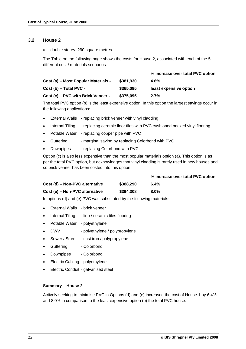#### **3.2 House 2**

double storey, 290 square metres

The Table on the following page shows the costs for House 2, associated with each of the 5 different cost / materials scenarios.

|                                     |           | % increase over total PVC option |
|-------------------------------------|-----------|----------------------------------|
| Cost (a) – Most Popular Materials - | \$381,930 | $4.6\%$                          |
| $Cost(b) - Total PVC -$             | \$365,095 | least expensive option           |
| Cost (c) – PVC with Brick Veneer -  | \$375,095 | 2.7%                             |

The total PVC option (b) is the least expensive option. In this option the largest savings occur in the following applications:

- External Walls replacing brick veneer with vinyl cladding
- Internal Tiling replacing ceramic floor tiles with PVC cushioned backed vinyl flooring
- Potable Water replacing copper pipe with PVC
- Guttering marginal saving by replacing Colorbond with PVC
- Downpipes replacing Colorbond with PVC

Option (c) is also less expensive than the most popular materials option (a). This option is as per the total PVC option, but acknowledges that vinyl cladding is rarely used in new houses and so brick veneer has been costed into this option.

|                                |           | % increase over total PVC option |
|--------------------------------|-----------|----------------------------------|
| Cost (d) – Non-PVC alternative | \$388.290 | $6.4\%$                          |
| Cost (e) – Non-PVC alternative | \$394,308 | $8.0\%$                          |

In options (d) and (e) PVC was substituted by the following materials:

- External Walls brick veneer
- Internal Tiling lino / ceramic tiles flooring
- Potable Water polyethylene
- DWV polyethylene / polypropylene
- Sewer / Storm cast iron / polypropylene
- Guttering Colorbond
- Downpipes Colorbond
- Electric Cabling polyethylene
- Electric Conduit galvanised steel

#### **Summary – House 2**

Actively seeking to minimise PVC in Options (d) and (e) increased the cost of House 1 by 6.4% and 8.0% in comparison to the least expensive option (b) the total PVC house.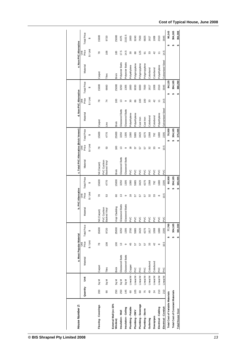| House Number 2:                         |          |                   |                 | a. Most Popular Material |                      |                             | b. PVC Alternative |                    | c. Total PVC Alternative (Brick Veneer) |                |                     | d. Non-PVC Alternative |                |                    |                  | e. Non-PVC Alternative |                    |
|-----------------------------------------|----------|-------------------|-----------------|--------------------------|----------------------|-----------------------------|--------------------|--------------------|-----------------------------------------|----------------|---------------------|------------------------|----------------|--------------------|------------------|------------------------|--------------------|
|                                         | Quantity | š                 | Material        | Price<br>š               | <b>Total Price</b>   | laterial                    | Price<br>š         | <b>Total Price</b> | Material                                | Price<br>š     | <b>Total Price</b>  | Material               | Price<br>š     | <b>Total Price</b> | Material         | Price<br>š             | <b>Total Price</b> |
|                                         |          |                   |                 | $$/$ Unit                | ↮                    |                             | \$/Unit            | ↔                  |                                         | \$/Unit        | ↔                   |                        | $$/$ Unit      | $\Theta$           |                  | $$/$ Unit              | ↔                  |
| Flooring-Coverings                      | 200      | Sq M              | Carpet          | 78                       | 15600                | Nil (Carpet)                | 78                 | 15600              | Nil (Carpet)                            | r8             | 15600               | Carpet                 | r8             | 15600              | Carpet           | 78                     | 15600              |
|                                         | 90       | Sq M              | Tiles           | 108                      | 9720                 | PVC Cushion<br>Backed Vinyl | 53                 | 4770               | PVC Cushion<br>Backed Vinyl             | 53             | 4770                | ە.<br>تا               | 74             | 6660               | Tiles            | 108                    | 9720               |
| External Wall (ex 15%<br>Window)        | 250      | Sq M              | <b>Brick</b>    | 100                      | 25000                | Vinyl Cladding              | 8                  | 15000              | <b>Brick</b>                            | $\overline{0}$ | 25000               | <b>Brick</b>           | $\overline{0}$ | 25000              | <b>Brick</b>     | 100                    | 25000              |
| Insulation - Wall                       | 250      | Sq M              | Glasswool Batts | 13                       | 3250                 | Glasswool Batts             | ≌                  | 3250               | Glasswool Batts                         | 13             | 3250                | Glasswool Batts        | 13             | 3250               | Polyester Batts  | 17.5                   | 4375               |
| Insulation - Ceiling                    | 145      | $\frac{8}{9}$     | Glasswool Batts | တ                        | 1305                 | Glasswool Batts             | თ                  | 1305               | Glasswool Batts                         | တ              | 1305                | Glasswool Batts        | თ              | 1305               | Polyester Batts  | 14.5                   | 2102.5             |
| Plumbing - Potable                      | 60       | Lineal M - Copper |                 | 45                       | 2700                 | <b>DVC</b>                  | $\frac{8}{2}$      | 1080               | PVC                                     | $\frac{8}{1}$  | 1080                | Polyethylene           | ౚ              | 1800               | Polyethylene     | 30                     | 1800               |
| Plumbing - DWV                          | 105      | Lineal M - PVC    |                 | 57                       | 5985                 | PVC                         | 57                 | 5985               | PVC                                     | 57             | 5985                | Polyethylene           | 88             | 9030               | Polypropylene    | 88                     | 9240               |
| Plumbing - Sewerage                     | 60       | Lineal M - PVC    |                 | 57                       | 3420                 | PVC                         | 57                 | 3420               | <b>DVC</b>                              | 57             | 3420                | Cast Iron              | $\overline{0}$ | 6000               | Polypropylene    | 125                    | 7500               |
| Plumbing - Storm                        | 75       | Lineal M - PVC    |                 | 57                       | 4275                 | <b>DVC</b>                  | 57                 | 4275               | <b>D/C</b>                              | 57             | 4275                | Cast Iron              | $\overline{0}$ | 7500               | Polypropylene    | $\overline{5}$         | 6825               |
| Guttering                               | 49       | Lineal M          | Colorbond       | 33                       | 1617                 | PVC                         | 32                 | 1568               | PVC                                     | 32             | 1568                | Colorbond              | 33             | 1617               | Colorbond        | 33                     | 1617               |
| Downpipes                               | 24       | Lineal M          | Colorbond       | 42                       | 1008                 | PVC                         | 33                 | 792                | <b>DVC</b>                              | 33             | 792                 | Colorbond              | a,             | 1008               | Colorbond        | 42                     | 1008               |
| Electrical - Cabling                    | 210      | Lineal M          | <b>PVC</b>      | $\infty$                 | 1680                 | PVC                         | $\infty$           | 1680               | <b>PVC</b>                              | $\infty$       | 1680                | Polyethylene           | Ξ              | 2310               | Polyethylene     | Ξ                      | 2310               |
| Electrical - Conduit                    | 210      | Lineal M          | <b>PVC</b>      | 10.5                     | 2205                 | PVC                         | 10.5               | 2205               | PVC                                     | 10.5           | 2205                | Galvanised Steel       | 14.5           | 3045               | Galvanised Steel | 14.5                   | 3045               |
| <b>Total Cost of Variable Materials</b> |          |                   |                 |                          | 77,765<br>မာ         |                             | <b>ین</b>          | 60,930             |                                         |                | 70,930<br><b>ین</b> |                        |                | 84,125             |                  |                        | 90,143             |
| <b>Total Cost of Constant Materials</b> |          |                   |                 |                          | 304,165<br><b>ین</b> |                             | မာ                 | 304,165            |                                         |                | 304,165<br>s,       |                        |                | 304,165            |                  |                        | 304,165            |
| <b>Total House Cost</b>                 |          |                   |                 |                          | 381,930<br>↮         |                             | ↮                  | 365,095            |                                         |                | 375,095<br>↮        |                        | ↮              | 388,290            |                  | ↮                      | 394,308            |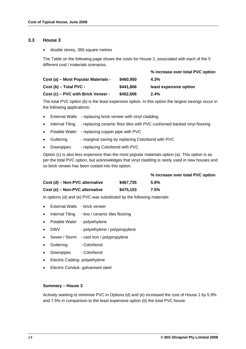#### **3.3 House 3**

double storey, 350 square metres

The Table on the following page shows the costs for House 2, associated with each of the 5 different cost / materials scenarios.

|                                     |           | % increase over total PVC option |
|-------------------------------------|-----------|----------------------------------|
| Cost (a) – Most Popular Materials - | \$460.950 | 4.3%                             |
| Cost (b) - Total PVC -              | \$441,806 | least expensive option           |
| Cost (c) – PVC with Brick Veneer -  | \$452,606 | 2.4%                             |

The total PVC option (b) is the least expensive option. In this option the largest savings occur in the following applications:

- External Walls replacing brick veneer with vinyl cladding
- Internal Tiling replacing ceramic floor tiles with PVC cushioned backed vinyl flooring
- Potable Water replacing copper pipe with PVC
- Guttering marginal saving by replacing Colorbond with PVC
- Downpipes replacing Colorbond with PVC

Option (c) is also less expensive than the most popular materials option (a). This option is as per the total PVC option, but acknowledges that vinyl cladding is rarely used in new houses and so brick veneer has been costed into this option.

|                                |           | % increase over total PVC option |
|--------------------------------|-----------|----------------------------------|
| Cost (d) – Non-PVC alternative | \$467.735 | 5.9%                             |
| Cost (e) – Non-PVC alternative | \$475.103 | 7.5%                             |

In options (d) and (e) PVC was substituted by the following materials:

- External Walls brick veneer
- Internal Tiling lino / ceramic tiles flooring
- Potable Water polyethylene
- DWV polyethylene / polypropylene
- Sewer / Storm cast iron / polypropylene
- Guttering Colorbond
- Downpipes Colorbond
- Electric Cabling- polyethylene
- Electric Conduit- galvanised steel

#### **Summary – House 3**

Actively seeking to minimise PVC in Options (d) and (e) increased the cost of House 1 by 5.9% and 7.5% in comparison to the least expensive option (b) the total PVC house.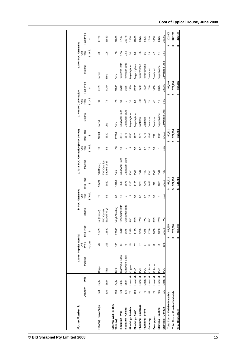| House Number 3:                         |          |                    |                 | a. Most Popular Material                   |                                    |                                    | b. PVC Alternative                         |                        | c. Total PVC Alternative (Brick Veneer) |               |                        |                  | d. Non-PVC Alternative  |                        |                  | e. Non-PVC Alternative |                      |
|-----------------------------------------|----------|--------------------|-----------------|--------------------------------------------|------------------------------------|------------------------------------|--------------------------------------------|------------------------|-----------------------------------------|---------------|------------------------|------------------|-------------------------|------------------------|------------------|------------------------|----------------------|
|                                         | Quantity | š                  | Material        | Price<br>š                                 | <b>Total Price</b>                 | Material                           | Price<br>š                                 | <b>Total Price</b>     | Material                                | Price<br>š    | <b>Total Price</b>     | Material         | Price<br>š              | <b>Total Price</b>     | Material         | Price<br>š             | <b>Total Price</b>   |
|                                         |          |                    |                 | $$/$ Unit                                  | ↔                                  |                                    | \$/Unit                                    | $\boldsymbol{\varphi}$ |                                         | \$/ Unit      | $\boldsymbol{\varphi}$ |                  | $$/$ Unit               | $\boldsymbol{\varphi}$ |                  | $$/$ Unit              | ↮                    |
| Flooring - Coverings                    | 240      | $\frac{8}{9}$      | Carpet          | $\approx$                                  | 18720                              | Nil (Carpet)                       | $\overline{78}$                            | 18720                  | Nil (Carpet)                            | 78            | 18720                  | Carpet           | $78$                    | 18720                  | Carpet           | $78$                   | 18720                |
|                                         | 110      | $\frac{8}{3}$      | Tiles           | 108                                        | 11880                              | <b>PVC Cushion</b><br>Backed Vinyl | ${\tt S3}$                                 | 5830                   | PVC Cushion<br>Backed Vinyl             | ${\tt S3}$    | 5830                   | Lino             | $\overline{7}$          | 8140                   | Tiles            | 108                    | 11880                |
| External Wall (ex 15%<br>Window)        | 270      | $\frac{8}{3}$      | <b>Brick</b>    | 100                                        | 27000                              | Vinyl Cladding                     | $\mbox{ }^\mathrm{SO}$                     | 16200                  | <b>Brick</b>                            | 100           | 27000                  | <b>Brick</b>     | 100                     | 27000                  | <b>Brick</b>     | 100                    | 27000                |
| Insulation - Wall                       | 270      | $\mathbb{S}_{q}$ M | Glasswool Batts | $\mathrel{\mathop{\mathfrak{S}}}\nolimits$ | 3510                               | Glasswool Batts                    | $\mathrel{\mathop{\mathfrak{S}}}\nolimits$ | 3510                   | Glasswool Batts                         | $\frac{3}{2}$ | 3510                   | Glasswool Batts  | $\frac{3}{2}$           | 3510                   | Polyester Batts  | 17.5                   | 4725                 |
| Insulation - Ceiling                    | 175      | $\frac{8}{3}$      | Glasswool Batts | $\circ$                                    | 1575                               | Glasswool Batts                    | $\circ$                                    | 1575                   | Glasswool Batts                         | $\circ$       | 1575                   | Glasswool Batts  | $\circ$                 | 1575                   | Polyester Batts  | 14.5                   | 2537.5               |
| Plumbing - Potable                      | 75       | Lineal M-          | <b>Copper</b>   | $\frac{4}{3}$                              | 3375                               | PVC                                | $\frac{8}{10}$                             | 1350                   | PVC                                     | $\frac{8}{2}$ | 1350                   | Polyethylene     | $30\,$                  | 2250                   | Polyethylene     | $\rm 30$               | 2250                 |
| Plumbing - DWV                          | 125      | Lineal M -         | PVC             | 57                                         | 7125                               | PVC                                | 57                                         | 7125                   | PVC                                     | 57            | 7125                   | Polyethylene     | 86                      | 10750                  | Polypropylene    | $_{88}$                | 11000                |
| Plumbing - Sewerage                     | 75       | Lineal M-          | PVC             | 57                                         | 4275                               | PVC                                | 57                                         | 4275                   | PVC                                     | 57            | 4275                   | Cast Iron        | $\overline{100}$        | 7500                   | Polypropylene    | 125                    | 9375                 |
| Plumbing - Storm                        | 75       | Lineal M-          | PVC             | 57                                         | 4275                               | PVC                                | 57                                         | 4275                   | PVC                                     | 57            | 4275                   | Cast Iron        | 100                     | 7500                   | Polypropylene    | $\overline{5}$         | 6825                 |
| Guttering                               | $53\,$   | Lineal M           | Colorbond       | $33\,$                                     | 1749                               | PVC                                | 32                                         | 1696                   | PVC                                     | 32            | 1696                   | Colorbond        | $33\,$                  | 1749                   | Colorbond        | $33\,$                 | 1749                 |
| Downpipes                               | 24       | Lineal M           | Colorbond       | 42                                         | 1008                               | PVC                                | 33                                         | 792                    | PVC                                     | 33            | 792                    | Colorbond        | 42                      | 1008                   | Colorbond        | 42                     | 1008                 |
| Electrical - Cabling                    | 225      | Lineal M           | PVC             | $\infty$                                   | 1800                               | PVC                                | $\infty$                                   | 1800                   | PVC                                     | $\infty$      | 1800                   | Polyethylene     | $\overleftarrow{\cdot}$ | 2475                   | Polyethylene     | 1                      | 2475                 |
| Electrical - Conduit                    | 225      | Lineal M           | PVC             | $\dot{\mathbf{Q}}$                         | 2362.5                             | PVC                                | 10.5                                       | 2362.5                 | PVC                                     | 10.5          | 2362.5                 | Galvanised Steel | 14.5                    | 3262.5                 | Galvanised Steel | $\overline{4}$         | 3262.5               |
| <b>Total Cost of Variable Materials</b> |          |                    |                 |                                            | 88,655<br>↮                        |                                    |                                            | 69,511<br>↮            |                                         |               | 80,311<br>↔            |                  |                         | 95,440<br>↮            |                  |                        | 102,807<br>↮         |
| <b>Total Cost of Constant Materials</b> |          |                    |                 |                                            | 372,296<br>$\pmb{\leftrightarrow}$ |                                    |                                            | 372,296<br>$\theta$    |                                         |               | 372,296<br>$\theta$    |                  |                         | 372,296<br>$\theta$    |                  |                        | 372,296<br>$\bullet$ |
| <b>Total House Cost</b>                 |          |                    |                 |                                            | 460,950<br>₩                       |                                    |                                            | 441,806<br>₩           |                                         |               | 452,606<br>↮           |                  |                         | 467,735<br>₩           |                  |                        | 475,103<br>₩         |